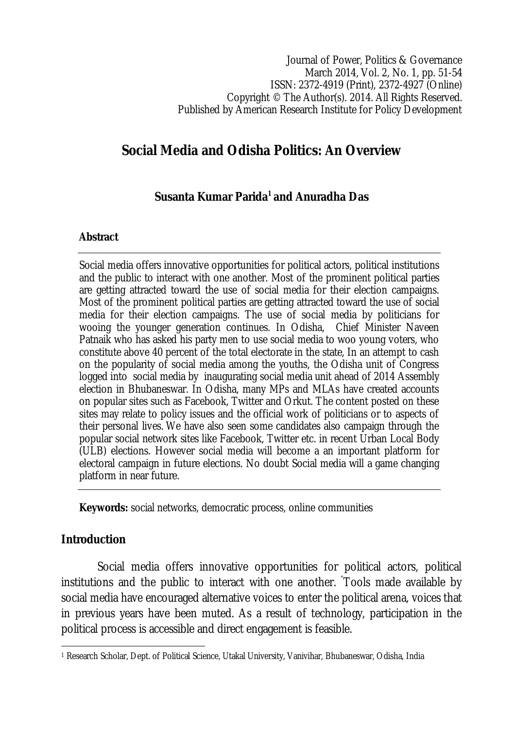Journal of Power, Politics & Governance March 2014, Vol. 2, No. 1, pp. 51-54 ISSN: 2372-4919 (Print), 2372-4927 (Online) Copyright © The Author(s). 2014. All Rights Reserved. Published by American Research Institute for Policy Development

# **Social Media and Odisha Politics: An Overview**

## **Susanta Kumar Parida<sup>1</sup> and Anuradha Das**

#### **Abstract**

Social media offers innovative opportunities for political actors, political institutions and the public to interact with one another. Most of the prominent political parties are getting attracted toward the use of social media for their election campaigns. Most of the prominent political parties are getting attracted toward the use of social media for their election campaigns. The use of social media by politicians for wooing the younger generation continues. In Odisha, Chief Minister Naveen Patnaik who has asked his party men to use social media to woo young voters, who constitute above 40 percent of the total electorate in the state, In an attempt to cash on the popularity of social media among the youths, the Odisha unit of Congress logged into social media by inaugurating social media unit ahead of 2014 Assembly election in Bhubaneswar. In Odisha, many MPs and MLAs have created accounts on popular sites such as Facebook, Twitter and Orkut. The content posted on these sites may relate to policy issues and the official work of politicians or to aspects of their personal lives. We have also seen some candidates also campaign through the popular social network sites like Facebook, Twitter etc. in recent Urban Local Body (ULB) elections. However social media will become a an important platform for electoral campaign in future elections. No doubt Social media will a game changing platform in near future.

**Keywords:** social networks, democratic process, online communities

### **Introduction**

Social media offers innovative opportunities for political actors, political institutions and the public to interact with one another. "Tools made available by social media have encouraged alternative voices to enter the political arena, voices that in previous years have been muted. As a result of technology, participation in the political process is accessible and direct engagement is feasible.

 $\overline{\phantom{a}}$ <sup>1</sup> Research Scholar, Dept. of Political Science, Utakal University, Vanivihar, Bhubaneswar, Odisha, India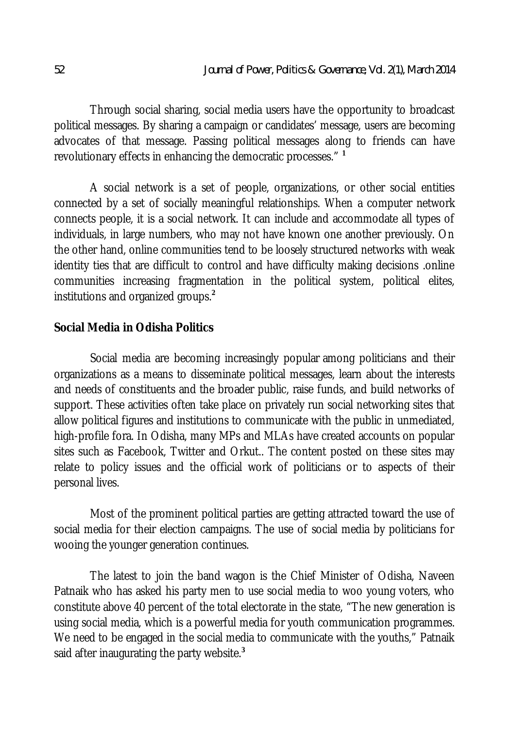Through social sharing, social media users have the opportunity to broadcast political messages. By sharing a campaign or candidates' message, users are becoming advocates of that message. Passing political messages along to friends can have revolutionary effects in enhancing the democratic processes." **<sup>1</sup>**

A social network is a set of people, organizations, or other social entities connected by a set of socially meaningful relationships. When a computer network connects people, it is a social network. It can include and accommodate all types of individuals, in large numbers, who may not have known one another previously. On the other hand, online communities tend to be loosely structured networks with weak identity ties that are difficult to control and have difficulty making decisions .online communities increasing fragmentation in the political system, political elites, institutions and organized groups.**<sup>2</sup>**

#### **Social Media in Odisha Politics**

Social media are becoming increasingly popular among politicians and their organizations as a means to disseminate political messages, learn about the interests and needs of constituents and the broader public, raise funds, and build networks of support. These activities often take place on privately run social networking sites that allow political figures and institutions to communicate with the public in unmediated, high-profile fora. In Odisha, many MPs and MLAs have created accounts on popular sites such as Facebook, Twitter and Orkut.. The content posted on these sites may relate to policy issues and the official work of politicians or to aspects of their personal lives.

Most of the prominent political parties are getting attracted toward the use of social media for their election campaigns. The use of social media by politicians for wooing the younger generation continues.

The latest to join the band wagon is the Chief Minister of Odisha, Naveen Patnaik who has asked his party men to use social media to woo young voters, who constitute above 40 percent of the total electorate in the state, "The new generation is using social media, which is a powerful media for youth communication programmes. We need to be engaged in the social media to communicate with the youths," Patnaik said after inaugurating the party website.**<sup>3</sup>**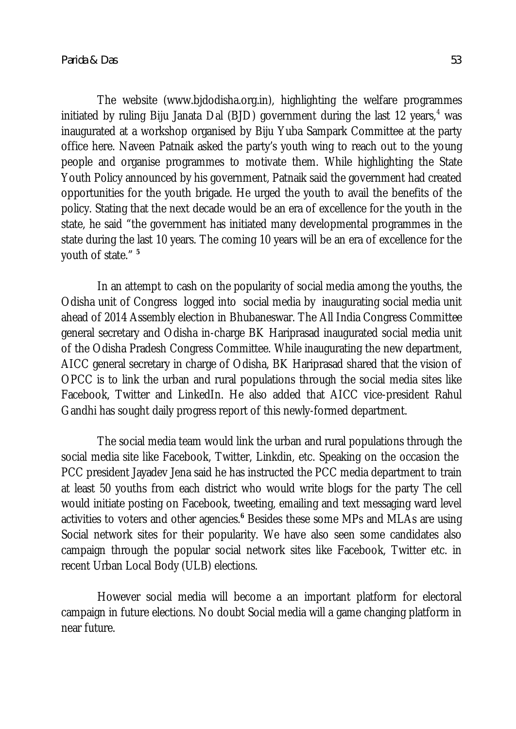The website (www.bjdodisha.org.in), highlighting the welfare programmes initiated by ruling Biju Janata Dal (BJD) government during the last 12 years, $4$  was inaugurated at a workshop organised by Biju Yuba Sampark Committee at the party office here. Naveen Patnaik asked the party's youth wing to reach out to the young people and organise programmes to motivate them. While highlighting the State Youth Policy announced by his government, Patnaik said the government had created opportunities for the youth brigade. He urged the youth to avail the benefits of the policy. Stating that the next decade would be an era of excellence for the youth in the state, he said "the government has initiated many developmental programmes in the state during the last 10 years. The coming 10 years will be an era of excellence for the youth of state." **<sup>5</sup>**

In an attempt to cash on the popularity of social media among the youths, the Odisha unit of Congress logged into social media by inaugurating social media unit ahead of 2014 Assembly election in Bhubaneswar. The All India Congress Committee general secretary and Odisha in-charge BK Hariprasad inaugurated social media unit of the Odisha Pradesh Congress Committee. While inaugurating the new department, AICC general secretary in charge of Odisha, BK Hariprasad shared that the vision of OPCC is to link the urban and rural populations through the social media sites like Facebook, Twitter and LinkedIn. He also added that AICC vice-president Rahul Gandhi has sought daily progress report of this newly-formed department.

The social media team would link the urban and rural populations through the social media site like Facebook, Twitter, Linkdin, etc. Speaking on the occasion the PCC president Jayadev Jena said he has instructed the PCC media department to train at least 50 youths from each district who would write blogs for the party The cell would initiate posting on Facebook, tweeting, emailing and text messaging ward level activities to voters and other agencies.**<sup>6</sup>** Besides these some MPs and MLAs are using Social network sites for their popularity. We have also seen some candidates also campaign through the popular social network sites like Facebook, Twitter etc. in recent Urban Local Body (ULB) elections.

However social media will become a an important platform for electoral campaign in future elections. No doubt Social media will a game changing platform in near future.